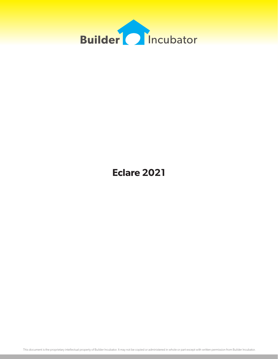

# **Eclare 2021**

This document is the proprietary intellectual property of Builder Incubator. It may not be copied or administered in whole or part except with written permission from Builder Incubator.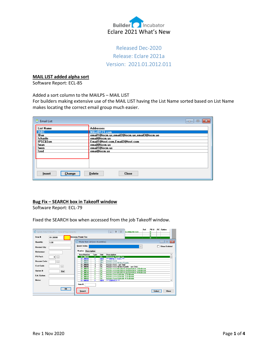

## Released Dec-2020 Release: Eclare 2021a Version: 2021.01.2012.011

#### **MAIL LIST added alpha sort**

Software Report: ECL-85

Added a sort column to the MAILPS – MAIL LIST

For builders making extensive use of the MAIL LIST having the List Name sorted based on List Name makes locating the correct email group much easier.

| <b>Email List</b> | ⊟                                            |
|-------------------|----------------------------------------------|
| <b>List Name</b>  | <b>Addresses</b>                             |
| <b>IABC</b>       | Mike@123.com                                 |
| !Bav              | email1@iscm.us,email2@iscm.ue,email3@iscm.ue |
| !charile          | email@iscm.us                                |
| !PSC&Son          | Email1@test.com,Email2@test.com              |
| !wan              | email@iscm.us                                |
| !wen              | email1@iscm.us                               |
| !zed              | emai@iscm.us                                 |
| Change            | <b>Delete</b>                                |
| Insert            | <b>Close</b>                                 |

## **Bug Fix – SEARCH box in Takeoff window**

Software Report: ECL-79

Fixed the SEARCH box when accessed from the job Takeoff window.

|                     | O Update Detail (Takeoff: 2 - General Requirements) |                                   |             |                   | Ref.<br>$\Sigma$<br>$\qquad \qquad \Box$<br>123456789 123<br>$\qquad \qquad \blacksquare$              | P0 #<br><b>RC</b> Option<br>n<br>0 |
|---------------------|-----------------------------------------------------|-----------------------------------|-------------|-------------------|--------------------------------------------------------------------------------------------------------|------------------------------------|
| Item #:             | 01.20030                                            | <b>Driveway Permit Fee</b>        |             |                   |                                                                                                        | Ō<br>n                             |
| Quantity:           | 1.00                                                | Master Item List (non-Assemblies) |             |                   |                                                                                                        | $-x$<br>$\Box$<br>$\Box$           |
| <b>Revised Qty:</b> |                                                     | Quick Index:                      |             |                   | $\checkmark$                                                                                           | <b>Show Deleted</b>                |
| Reference:          |                                                     | Number Description                |             |                   |                                                                                                        |                                    |
| PO Pack:            | 0<br>$\overline{\phantom{a}}$                       | <b>Item Number</b><br>01.20030    | Type<br>Е   | Unit<br>EA        | Description<br><b>Driveway Permit Fee</b>                                                              | $\lambda$                          |
| <b>Reason Code:</b> |                                                     | 01.30000<br>01.30001              | п           | <b>HDR</b><br>UP1 | *** IMPACT FEES ***<br><b>Impact Fees</b>                                                              |                                    |
| <b>Cost Code:</b>   | $\overline{\phantom{a}}$                            | 01.30002<br>01.30005<br>01.30006  |             | UP1<br>EA<br>EA   | Impact Fees-Water/Septic<br>Impact Fees - per Unit<br>Impact Fees Water/Septic - per Unit              |                                    |
| Option #:           | Ref                                                 | 01.30010<br>01.30020              | F<br>F      | EA<br>EA          | <b>Impact Fees-Roads/Transportation 2 Bedroom</b><br><b>Impact Fees-Roads/Transportation 3 Bedroom</b> |                                    |
| Ext. Option:        |                                                     | 01.30030<br>01.30040              | F<br>F      | EA<br>EA          | <b>Impact Fees-Roads/Transportation 4 Bedroom</b><br><b>Impact Fees-Schools 2 Bedroom</b>              |                                    |
| Notes:              |                                                     | 01.30050<br>01.30060<br>01.40000  | F<br>F<br>Е | EA<br>EA<br>HDR   | <b>Impact Fees-Schools 3 Bedroom</b><br><b>Impact Fees-Schools 4 Bedroom</b><br>*** SURVEY ***         | $\checkmark$                       |
|                     |                                                     | Item #:                           |             |                   |                                                                                                        |                                    |
|                     | <b>OK</b>                                           | Search                            |             |                   |                                                                                                        | Close<br>Select                    |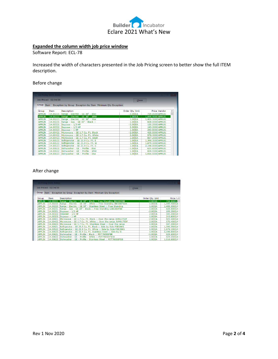

## **Expanded the column width job price window**

Software Report: ECL-78

Increased the width of characters presented in the Job Pricing screen to better show the full ITEM description.

## Before change

|               | Job Priced: 02/14/20 |                                                                       | $C$ lose             |                   |          |
|---------------|----------------------|-----------------------------------------------------------------------|----------------------|-------------------|----------|
|               |                      | Group Item Exception by Group Exception by Item Minimum Qty Exception |                      |                   |          |
| Group         | Item                 | <b>Description</b>                                                    | Order Qty Unit       | Price Vendor      | $\Delta$ |
| <b>APPLIN</b> |                      | 14.00221 Range - Electric - GE 30" - Blac                             | $-2.00$ EA           | 734.8500 APPL01   |          |
| APPLIN        |                      | 14.00222 Range - Electric - GE 30" - Whit                             | $1.00$ <sub>EA</sub> | 1.099.4000 APPL01 |          |
| <b>APPLIN</b> | 14,00223             | Range - Electric - GE 30" - Stai                                      | $1.00$ <sub>EA</sub> | 1,405.3000 APPL01 |          |
| <b>APPLIN</b> | 14.00231             | Range - Gas - GE 30" - Black ::                                       | $1.00$ <sub>EA</sub> | 828,0000 APPL01   |          |
| <b>APPLIN</b> | 14,00321             | Disposer - 1/3 HP                                                     | $-2.00$ EA           | 155.2500 APPL01   |          |
| <b>APPLIN</b> | 14,00322             | Disposer - 1/2 HP                                                     | $2.00$ <sub>EA</sub> | 193.2000 APPL01   |          |
| <b>APPLIN</b> | 14,00323             | Disposer - 1 HP                                                       | 1.00 EA              | 243.8000 APPL01   |          |
| <b>APPLIN</b> | 14,00421             | Microwave - GE 1.7 Cu. Ft. Black                                      | $-2.00$ EA           | 425.5000 APPL01   |          |
| <b>APPLIN</b> | 14,00422             | Microwave - GE 1.7 Cu. Ft. White                                      | $2.00$ <sub>EA</sub> | 570.4000 APPL01   |          |
| <b>APPLIN</b> | 14,00423             | Microwave - GE 1.7 Cu. Ft. Stain                                      | $1.00$ EA            | 607.2000 APPL01   |          |
| <b>APPLIN</b> | 14,00521             | Refrigerator - GE 25.9 Cu. Ft. B                                      | $1.00$ <sub>EA</sub> | 1.390.3500 APPL01 |          |
| <b>APPLIN</b> | 14.00522             | Refrigerator - GE 25.9 Cu. Ft. W                                      | 1.00 EA              | 1.879.1000 APPL01 |          |
| <b>APPLIN</b> | 14,00523             | Refrigerator - GE 25.9 Cu. Ft. S                                      | $1.00$ <sub>EA</sub> | 2,198.8000 APPL01 |          |
| <b>APPLIN</b> | 14,00621             | Dishwasher - GE - Profile - Blac                                      | $-1.00$ EA           | 625.6000 APPL01   |          |
| <b>APPLIN</b> | 14,00622             | Dishwasher - GE - Profile - Whit                                      | $1.00$ EA            | 824.5500 APPL01   |          |
| <b>APPLIN</b> | 14,00623             | Dishwasher - GE - Profile - Stai                                      | $1.00$ EA            | 1,016.6000 APPL01 |          |

## After change

|               | (2) Job Pricing (Smith, Bobby) |                                                                       |       |                       | — 19             |
|---------------|--------------------------------|-----------------------------------------------------------------------|-------|-----------------------|------------------|
|               | Job Priced: 02/14/20           |                                                                       | Close |                       |                  |
|               |                                | Group Item Exception by Group Exception by Item Minimum Oty Exception |       |                       |                  |
| Group         | Item                           | <b>Description</b>                                                    |       | Order Qty Unit        | Price $V \wedge$ |
| <b>APPLIN</b> | 14.00221                       | Range - Electric - GE 30" - Black :: Free Standing JB630DFBB          |       | $-2.00EA$             | 734.8500 A       |
| <b>APPLIN</b> | 14.00222                       | Range - Electric - GE 30" - White :: Free Standing JB630DFWW          |       | $1.00$ <sub>EA</sub>  | 1,099,4000A      |
| <b>APPLIN</b> | 14.00223                       | Range - Electric - GE 30" - Stainless Steel :: Free Standing          |       | $1.00$ <sub>EA</sub>  | 1,405,3000 A     |
| <b>APPLIN</b> | 14.00231                       | Range - Gas - GE 30" - Black :: Free Standing GJB630DFBB              |       | $1.00$ <sub>EA</sub>  | 828,0000 A       |
| <b>APPLIN</b> | 14.00321                       | Disposer - 1/3 HP                                                     |       | $-2.00$ <sub>EA</sub> | 155.2500 A       |
| <b>APPLIN</b> | 14.00322                       | Disposer - 1/2 HP                                                     |       | 2.00EA                | 193.2000 A       |
| <b>APPLIN</b> | 14.00323                       | Disposer - 1 HP                                                       |       | 1.00 <sub>E</sub> A   | 243,8000 A       |
| <b>APPLIN</b> | 14.00421                       | Microwave - GE 1.7 Cu. Ft. Black :: Over the range JVM6175DF          |       | $-2.00$ <sub>EA</sub> | 425.5000 A       |
| <b>APPLIN</b> | 14.00422                       | Microwave - GE 1.7 Cu. Ft. White :: Over the range JVM6175DF          |       | $2.00$ <sub>EA</sub>  | 570.4000A        |
| <b>APPLIN</b> | 14,00423                       | Microwave - GE 1.7 Cu. Ft. Stainless Steel :: Over the range          |       | $1.00$ EA             | 607.2000 A       |
| <b>APPLIN</b> | 14.00521                       | Refrigerator - GE 25.9 Cu. Ft. Black :: Side by Side PSE26KG          |       | $1.00$ EA             | 1,390.3500 A     |
| <b>APPLIN</b> | 14.00522                       | Refrigerator - GE 25.9 Cu. Ft. White :: Side by Side PSE26KG          |       | $1.00$ <sub>EA</sub>  | 1,879.1000 A     |
| <b>APPLIN</b> | 14.00523                       | Refrigerator - GE 25.9 Cu. Ft. Stainless Steel :: Side by Si          |       | $1.00$ EA             | 2,198.8000 A     |
| <b>APPLIN</b> | 14,00621                       | Dishwasher - GE - Profile - Black :: PDT760SSFBB                      |       | $-1.00$ EA            | 625,6000 A       |
| <b>APPLIN</b> | 14,00622                       | Dishwasher - GE - Profile - White :: PDT760SSFWW                      |       | $1.00$ <sub>EA</sub>  | 824.5500 A       |
| <b>APPLIN</b> | 14,00623                       | Dishwasher - GE - Profile - Stainless Steel :: PDT760SSFSS            |       | $1.00$ <sub>EA</sub>  | 1,016.6000A      |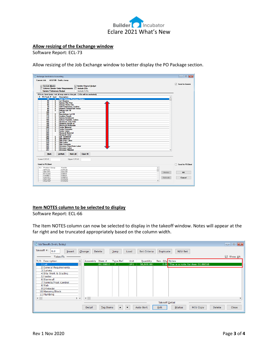

## **Allow resizing of the Exchange window**

Software Report: ECL-73

Allow resizing of the Job Exchange window to better display the PO Package section.

| Exchange: Send Job to Accounting |                              |                                                                            | $\mathbf{x}$<br>-- e           |
|----------------------------------|------------------------------|----------------------------------------------------------------------------|--------------------------------|
|                                  |                              | Current Job: ASG100 - Smith, Jonny                                         |                                |
|                                  |                              |                                                                            | $\triangledown$ Send to Gemini |
| □ Include Waste                  |                              | Update Original Budget                                                     |                                |
|                                  |                              | Finforce Vendor Order Requirements   Include POs                           |                                |
| <b>Update Prelimenary Budget</b> |                              | Include C/Os                                                               |                                |
|                                  |                              |                                                                            |                                |
|                                  |                              | PO's to Send (note: not all may exist in this job - C/Os will be excluded) |                                |
|                                  |                              | X PO Pack # Sent Description                                               |                                |
| 20                               |                              | <b>S</b> Early Release Purchase Orders                                     |                                |
| 40                               | $\overline{\mathbf{s}}$      | Lot Clearing                                                               |                                |
| 55                               | s                            | <b>Survey Plot-Plan</b>                                                    |                                |
| 60                               | s<br>s                       | <b>Survey-Stake Out</b>                                                    |                                |
| 70<br>80                         | $\overline{\mathbf{s}}$      | <b>Soil/Compaction Testing</b><br><b>Erosion Control/Silt Fence</b>        |                                |
| 90                               | s                            | <b>Deliver Lot FIII</b>                                                    |                                |
| 100                              |                              | Lot Fill                                                                   |                                |
| 105                              | s                            | Knockdown Lot Fill                                                         |                                |
| 110                              | $\overline{\mathbf{s}}$      | <b>Grading Rough</b>                                                       |                                |
| 120                              | s                            | <b>Survey-Formboard</b>                                                    |                                |
| 140                              | $\overline{\mathbf{s}}$      | <b>Deliver Portable Toilets</b>                                            |                                |
| 160                              | s                            | <b>Electrical Temp Pole</b>                                                |                                |
| 180                              | $\overline{\mathbf{s}}$      | <b>Plumbing Rough In</b>                                                   |                                |
| 190<br>200                       | s<br>$\overline{\mathbf{s}}$ | <b>Electrical Underslab</b><br><b>Footer Material</b>                      |                                |
| 210                              | s                            | <b>Footer Concrete</b>                                                     |                                |
| 220                              | s                            | <b>Footer Labor</b>                                                        |                                |
| 240                              |                              | <b>Stemwall Material</b>                                                   |                                |
| 260                              |                              | <b>Stemwall Labor</b>                                                      |                                |
| 280                              | s                            | <b>Soil Treatment</b>                                                      |                                |
| 300                              | s                            | <b>Slab Material</b>                                                       |                                |
| 310<br>320                       | s<br>s                       | Slab Prep Labor                                                            |                                |
| 340                              | s                            | Slab Labor<br><b>Slab Concrete</b>                                         |                                |
| 345                              | s                            | <b>Driveway Prep/Form Labor</b>                                            |                                |
| 346                              | s                            | <b>Driveway Labor</b>                                                      |                                |
| 347                              | $\overline{\mathbf{s}}$      | <b>Driveway Material</b>                                                   |                                |
|                                  |                              |                                                                            |                                |
| <b>Mark</b>                      |                              | <b>UnMark</b><br><b>Mark All</b><br><b>Clear All</b>                       |                                |
|                                  |                              |                                                                            |                                |
| Lower C/O #:                     |                              | Upper C/O #:                                                               |                                |
|                                  |                              |                                                                            |                                |
| <b>Send to PSClient</b>          |                              |                                                                            | <b>Send to PSClient</b>        |
|                                  |                              |                                                                            |                                |
| Err Product Group                |                              | Vendor                                                                     |                                |
| <b>APPLIN</b>                    |                              | APPL01                                                                     |                                |
| ARCHFE                           |                              | ABLE01<br>Delete                                                           | <b>OK</b>                      |
| <b>BTHCAB</b>                    |                              | CABI01                                                                     |                                |
| CABNET                           |                              | CABI01                                                                     |                                |
| CARPET<br><b>CBRTOP</b>          |                              | CARP01<br>Refresh<br>CORV01                                                | Cancel                         |
| CKNTOP                           |                              | COBV01                                                                     |                                |
|                                  |                              |                                                                            |                                |

## **Item NOTES column to be selected to display**

Software Report: ECL-66

The Item NOTES column can now be selected to display in the takeoff window. Notes will appear at the far right and be truncated appropriately based on the column width.

| Job Takeoffs (Smith, Bobby) |                            |               |           |                      |                  |                                         | $\Box$ $\mathbf{x}$<br>$\qquad \qquad \Box$ |  |  |  |
|-----------------------------|----------------------------|---------------|-----------|----------------------|------------------|-----------------------------------------|---------------------------------------------|--|--|--|
| Takeoff #:<br>0.0<br>Insert | Change                     | <b>Delete</b> | $2$ ump   | Load                 | Set Criteria     | Duplicate<br>M/U Set                    |                                             |  |  |  |
| <b>Takeoffs</b>             |                            |               |           |                      |                  |                                         | $\boxdot$ Show Alt.                         |  |  |  |
| T/O<br>Description          | Assembly<br>٨              | Item $#$      | Type Ref. | <b>Unit</b>          | Quantity         | Rev. Qty Notes                          |                                             |  |  |  |
| $1$ Lot                     |                            | 01.00010      | F.        | UP <sub>1</sub>      | 50,000.00        | $0.00$ This is a note for item 01.00010 |                                             |  |  |  |
| 2 General Requirements      |                            |               |           |                      |                  |                                         |                                             |  |  |  |
| 3 Survey                    |                            |               |           |                      |                  |                                         |                                             |  |  |  |
| 4 Site Work & Grading       |                            |               |           |                      |                  |                                         |                                             |  |  |  |
| 5 Footer                    |                            |               |           |                      |                  |                                         |                                             |  |  |  |
| 6 Stemwall                  |                            |               |           |                      |                  |                                         |                                             |  |  |  |
| 7 Termite/Pest Control      |                            |               |           |                      |                  |                                         |                                             |  |  |  |
| 8 Slab                      |                            |               |           |                      |                  |                                         |                                             |  |  |  |
| 9 Driveway                  |                            |               |           |                      |                  |                                         |                                             |  |  |  |
| 10 Masonry/Block            |                            |               |           |                      |                  |                                         |                                             |  |  |  |
| 11 Plumbing                 |                            |               |           |                      |                  |                                         |                                             |  |  |  |
| $\leq$                      | $\checkmark$<br>$>$ $\vee$ |               |           |                      |                  |                                         |                                             |  |  |  |
|                             | <b>Takeoff Detail</b>      |               |           |                      |                  |                                         |                                             |  |  |  |
|                             |                            |               |           |                      |                  |                                         |                                             |  |  |  |
|                             | Detail                     | Tag Items     |           | $\blacktriangledown$ | <b>Auto Sort</b> | Edit<br>Status<br>M/U Copy              | Close<br><b>Delete</b>                      |  |  |  |
|                             |                            |               |           |                      |                  |                                         |                                             |  |  |  |